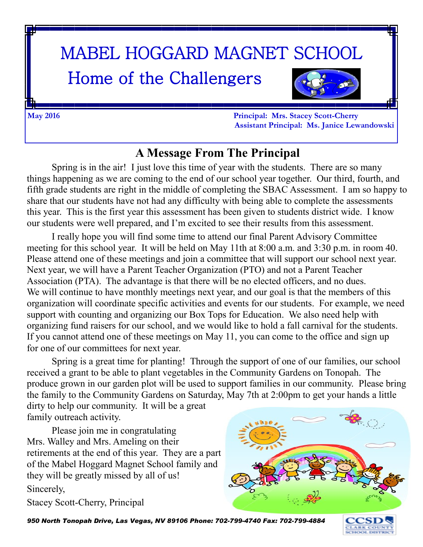# MABEL HOGGARD MAGNET SCHOOL

# Home of the Challengers



**May 2016 Principal: Mrs. Stacey Scott-Cherry Assistant Principal: Ms. Janice Lewandowski**

#### **A Message From The Principal**

Spring is in the air! I just love this time of year with the students. There are so many things happening as we are coming to the end of our school year together. Our third, fourth, and fifth grade students are right in the middle of completing the SBAC Assessment. I am so happy to share that our students have not had any difficulty with being able to complete the assessments this year. This is the first year this assessment has been given to students district wide. I know our students were well prepared, and I'm excited to see their results from this assessment.

I really hope you will find some time to attend our final Parent Advisory Committee meeting for this school year. It will be held on May 11th at 8:00 a.m. and 3:30 p.m. in room 40. Please attend one of these meetings and join a committee that will support our school next year. Next year, we will have a Parent Teacher Organization (PTO) and not a Parent Teacher Association (PTA). The advantage is that there will be no elected officers, and no dues. We will continue to have monthly meetings next year, and our goal is that the members of this organization will coordinate specific activities and events for our students. For example, we need support with counting and organizing our Box Tops for Education. We also need help with organizing fund raisers for our school, and we would like to hold a fall carnival for the students. If you cannot attend one of these meetings on May 11, you can come to the office and sign up for one of our committees for next year.

Spring is a great time for planting! Through the support of one of our families, our school received a grant to be able to plant vegetables in the Community Gardens on Tonopah. The produce grown in our garden plot will be used to support families in our community. Please bring the family to the Community Gardens on Saturday, May 7th at 2:00pm to get your hands a little dirty to help our community. It will be a great

family outreach activity.

Please join me in congratulating Mrs. Walley and Mrs. Ameling on their retirements at the end of this year. They are a part of the Mabel Hoggard Magnet School family and they will be greatly missed by all of us! Sincerely,

Stacey Scott-Cherry, Principal



*950 North Tonopah Drive, Las Vegas, NV 89106 Phone: 702-799-4740 Fax: 702-799-4884* 

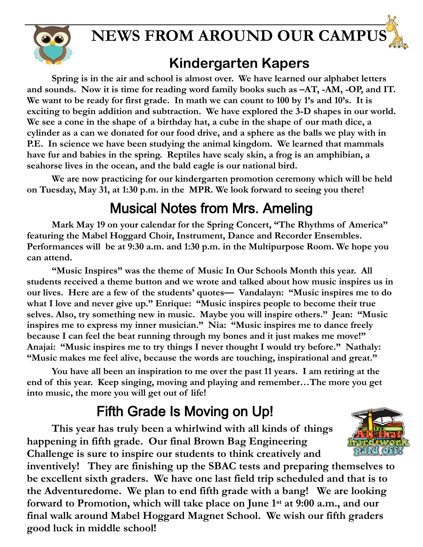

#### **Kindergarten Kapers**

**Spring is in the air and school is almost over. We have learned our alphabet letters and sounds. Now it is time for reading word family books such as –AT, -AM, -OP, and IT. We want to be ready for first grade. In math we can count to 100 by 1's and 10's. It is exciting to begin addition and subtraction. We have explored the 3-D shapes in our world. We see a cone in the shape of a birthday hat, a cube in the shape of our math dice, a cylinder as a can we donated for our food drive, and a sphere as the balls we play with in P.E. In science we have been studying the animal kingdom. We learned that mammals have fur and babies in the spring. Reptiles have scaly skin, a frog is an amphibian, a seahorse lives in the ocean, and the bald eagle is our national bird.**

**We are now practicing for our kindergarten promotion ceremony which will be held on Tuesday, May 31, at 1:30 p.m. in the MPR. We look forward to seeing you there!**

#### Musical Notes from Mrs. Ameling

**Mark May 19 on your calendar for the Spring Concert, "The Rhythms of America" featuring the Mabel Hoggard Choir, Instrument, Dance and Recorder Ensembles. Performances will be at 9:30 a.m. and 1:30 p.m. in the Multipurpose Room. We hope you can attend.**

**"Music Inspires" was the theme of Music In Our Schools Month this year. All students received a theme button and we wrote and talked about how music inspires us in our lives. Here are a few of the students' quotes— Vandalayn: "Music inspires me to do what I love and never give up." Enrique: "Music inspires people to become their true selves. Also, try something new in music. Maybe you will inspire others." Jean: "Music inspires me to express my inner musician." Nia: "Music inspires me to dance freely because I can feel the beat running through my bones and it just makes me move!" Anajai: "Music inspires me to try things I never thought I would try before." Nathaly: "Music makes me feel alive, because the words are touching, inspirational and great."** 

**You have all been an inspiration to me over the past 11 years. I am retiring at the end of this year. Keep singing, moving and playing and remember…The more you get into music, the more you will get out of life!** 

#### Fifth Grade Is Moving on Up!

**This year has truly been a whirlwind with all kinds of things happening in fifth grade. Our final Brown Bag Engineering Challenge is sure to inspire our students to think creatively and** 

**inventively! They are finishing up the SBAC tests and preparing themselves to be excellent sixth graders. We have one last field trip scheduled and that is to the Adventuredome. We plan to end fifth grade with a bang! We are looking forward to Promotion, which will take place on June 1st at 9:00 a.m., and our final walk around Mabel Hoggard Magnet School. We wish our fifth graders good luck in middle school!** 

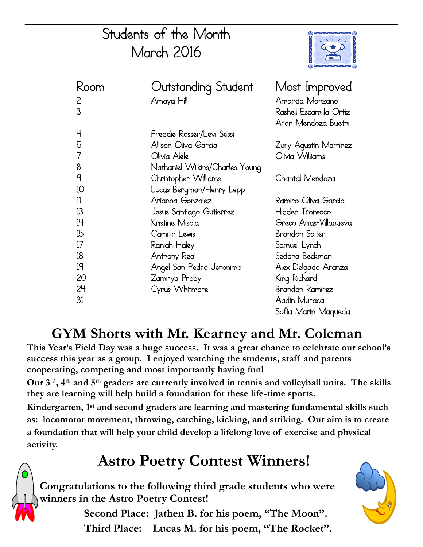# Students of the Month March 2016



| Koom         | Outstanding Student             | Most Improved           |
|--------------|---------------------------------|-------------------------|
| $\mathbf{Z}$ | Amaya Hill                      | Amanda Manzano          |
| 3            |                                 | Rashell Escamilla-Ortiz |
|              |                                 | Aron Mendoza-Buethi     |
| 4            | Freddie Rosser/Levi Sessi       |                         |
| 5            | Allison Oliva Garcia            | Zury Agustin Martinez   |
| 7            | Olivia Alele                    | Olivia Williams         |
| 8            | Nathaniel Wilkins/Charles Young |                         |
| q            | Christopher Williams            | Chantal Mendoza         |
| 10           | Lucas Bergman/Henry Lepp        |                         |
| 11           | Arianna Gonzalez                | Ramiro Oliva Garcia     |
| 13           | Jesus Santiago Gutierrez        | Hidden Tronsoco         |
| 14           | Kristine Misola                 | Greco Arias-Villanueva  |
| 15           | Camrin Lewis                    | Brandon Saiter          |
| 17           | Raniah Haley                    | Samuel Lynch            |
| 18           | Anthony Real                    | Sedona Beckman          |
| 19           | Angel San Pedro Jeronimo        | Alex Delgado Aranza     |
| 20           | Zamirya Proby                   | King Richard            |
| 24           | Cyrus Whitmore                  | Brandon Ramirez         |
| 31           |                                 | Aadin Muraca            |
|              |                                 | Sofia Marin Maqueda     |

#### **GYM Shorts with Mr. Kearney and Mr. Coleman**

**This Year's Field Day was a huge success. It was a great chance to celebrate our school's success this year as a group. I enjoyed watching the students, staff and parents cooperating, competing and most importantly having fun!**

**Our 3rd, 4th and 5th graders are currently involved in tennis and volleyball units. The skills they are learning will help build a foundation for these life-time sports.**

**Kindergarten, 1st and second graders are learning and mastering fundamental skills such as: locomotor movement, throwing, catching, kicking, and striking. Our aim is to create a foundation that will help your child develop a lifelong love of exercise and physical activity.**

# **Astro Poetry Contest Winners!**

**Congratulations to the following third grade students who were winners in the Astro Poetry Contest!** 

> **Second Place: Jathen B. for his poem, "The Moon". Third Place: Lucas M. for his poem, "The Rocket".**